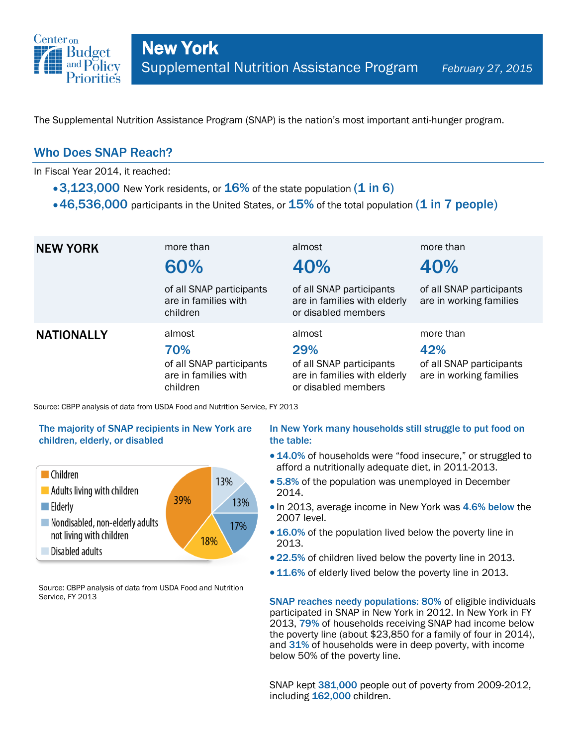

The Supplemental Nutrition Assistance Program (SNAP) is the nation's most important anti-hunger program.

### Who Does SNAP Reach?

In Fiscal Year 2014, it reached:

- $\cdot$  3,123,000 New York residents, or 16% of the state population (1 in 6)
- $\cdot$  46,536,000 participants in the United States, or  $15\%$  of the total population (1 in 7 people)

| <b>NEW YORK</b>   | more than<br>60%<br>of all SNAP participants<br>are in families with<br>children | almost<br>40%<br>of all SNAP participants<br>are in families with elderly<br>or disabled members | more than<br>40%<br>of all SNAP participants<br>are in working families |
|-------------------|----------------------------------------------------------------------------------|--------------------------------------------------------------------------------------------------|-------------------------------------------------------------------------|
| <b>NATIONALLY</b> | almost<br>70%<br>of all SNAP participants<br>are in families with<br>children    | almost<br>29%<br>of all SNAP participants<br>are in families with elderly<br>or disabled members | more than<br>42%<br>of all SNAP participants<br>are in working families |

Source: CBPP analysis of data from USDA Food and Nutrition Service, FY 2013

#### The majority of SNAP recipients in New York are children, elderly, or disabled



Source: CBPP analysis of data from USDA Food and Nutrition Service, FY 2013

#### In New York many households still struggle to put food on the table:

- 14.0% of households were "food insecure," or struggled to afford a nutritionally adequate diet, in 2011-2013.
- 5.8% of the population was unemployed in December 2014.
- In 2013, average income in New York was 4.6% below the 2007 level.
- 16.0% of the population lived below the poverty line in 2013.
- 22.5% of children lived below the poverty line in 2013.
- 11.6% of elderly lived below the poverty line in 2013.

SNAP reaches needy populations: 80% of eligible individuals participated in SNAP in New York in 2012. In New York in FY 2013, 79% of households receiving SNAP had income below the poverty line (about \$23,850 for a family of four in 2014), and 31% of households were in deep poverty, with income below 50% of the poverty line.

SNAP kept 381,000 people out of poverty from 2009-2012, including 162,000 children.